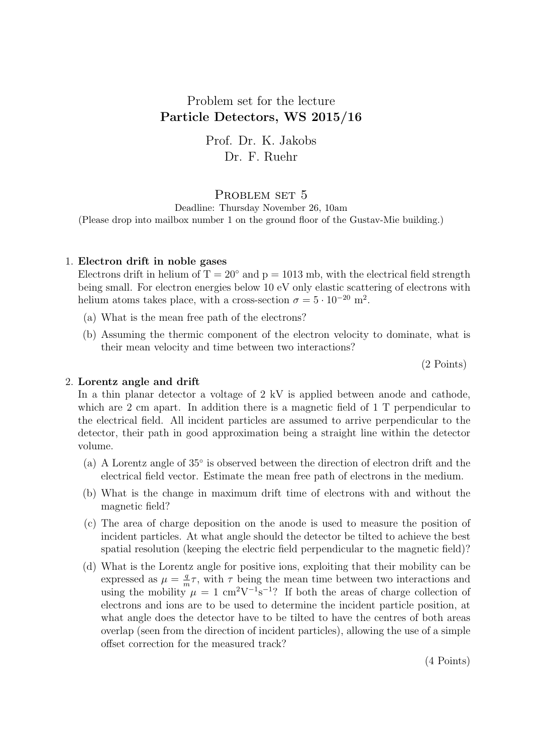# Problem set for the lecture Particle Detectors, WS 2015/16

Prof. Dr. K. Jakobs Dr. F. Ruehr

## PROBLEM SET 5

Deadline: Thursday November 26, 10am (Please drop into mailbox number 1 on the ground floor of the Gustav-Mie building.)

#### 1. Electron drift in noble gases

Electrons drift in helium of  $T = 20°$  and  $p = 1013$  mb, with the electrical field strength being small. For electron energies below 10 eV only elastic scattering of electrons with helium atoms takes place, with a cross-section  $\sigma = 5 \cdot 10^{-20}$  m<sup>2</sup>.

- (a) What is the mean free path of the electrons?
- (b) Assuming the thermic component of the electron velocity to dominate, what is their mean velocity and time between two interactions?

(2 Points)

#### 2. Lorentz angle and drift

In a thin planar detector a voltage of 2 kV is applied between anode and cathode, which are 2 cm apart. In addition there is a magnetic field of 1 T perpendicular to the electrical field. All incident particles are assumed to arrive perpendicular to the detector, their path in good approximation being a straight line within the detector volume.

- (a) A Lorentz angle of 35◦ is observed between the direction of electron drift and the electrical field vector. Estimate the mean free path of electrons in the medium.
- (b) What is the change in maximum drift time of electrons with and without the magnetic field?
- (c) The area of charge deposition on the anode is used to measure the position of incident particles. At what angle should the detector be tilted to achieve the best spatial resolution (keeping the electric field perpendicular to the magnetic field)?
- (d) What is the Lorentz angle for positive ions, exploiting that their mobility can be expressed as  $\mu = \frac{q}{n}$  $\frac{q}{m}\tau$ , with  $\tau$  being the mean time between two interactions and using the mobility  $\mu = 1$  cm<sup>2</sup>V<sup>-1</sup>s<sup>-1</sup>? If both the areas of charge collection of electrons and ions are to be used to determine the incident particle position, at what angle does the detector have to be tilted to have the centres of both areas overlap (seen from the direction of incident particles), allowing the use of a simple offset correction for the measured track?

(4 Points)